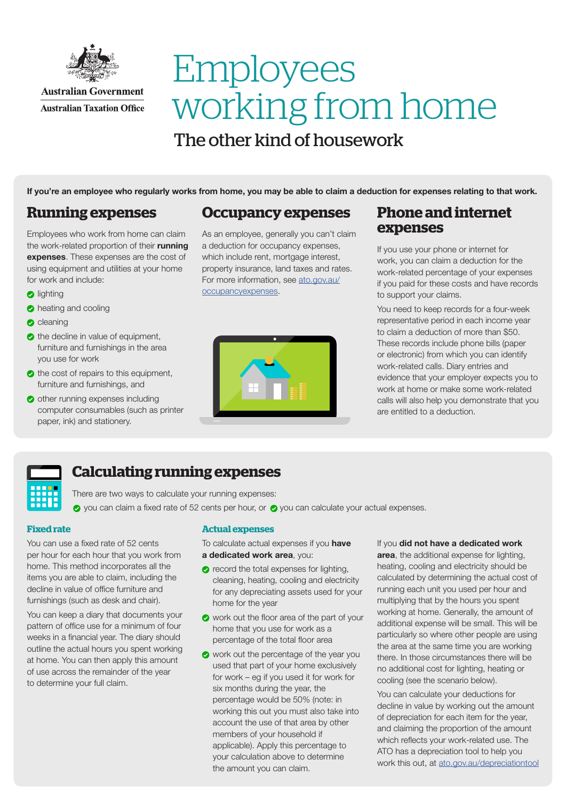

### **Australian Government Australian Taxation Office**

# Employees working from home The other kind of housework

If you're an employee who regularly works from home, you may be able to claim a deduction for expenses relating to that work.

## **Running expenses**

Employees who work from home can claim the work-related proportion of their running expenses. These expenses are the cost of using equipment and utilities at your home for work and include:

- **a** lighting
- **b** heating and cooling
- $\bullet$  cleaning
- $\bullet$  the decline in value of equipment, furniture and furnishings in the area you use for work
- $\bullet$  the cost of repairs to this equipment, furniture and furnishings, and
- other running expenses including computer consumables (such as printer paper, ink) and stationery.

### **Occupancy expenses**

As an employee, generally you can't claim a deduction for occupancy expenses, which include rent, mortgage interest, property insurance, land taxes and rates. For more information, see [ato.gov.au/](ato.gov.au/occupancyexpenses) [occupancyexpenses](ato.gov.au/occupancyexpenses).



### **Phone and internet expenses**

If you use your phone or internet for work, you can claim a deduction for the work-related percentage of your expenses if you paid for these costs and have records to support your claims.

You need to keep records for a four-week representative period in each income year to claim a deduction of more than \$50. These records include phone bills (paper or electronic) from which you can identify work-related calls. Diary entries and evidence that your employer expects you to work at home or make some work-related calls will also help you demonstrate that you are entitled to a deduction.



# **Calculating running expenses**

There are two ways to calculate your running expenses:

 $\bullet$  you can claim a fixed rate of 52 cents per hour, or  $\bullet$  you can calculate your actual expenses.

### **Fixed rate**

You can use a fixed rate of 52 cents per hour for each hour that you work from home. This method incorporates all the items you are able to claim, including the decline in value of office furniture and furnishings (such as desk and chair).

You can keep a diary that documents your pattern of office use for a minimum of four weeks in a financial year. The diary should outline the actual hours you spent working at home. You can then apply this amount of use across the remainder of the year to determine your full claim.

### **Actual expenses**

To calculate actual expenses if you have a dedicated work area, you:

- **2** record the total expenses for lighting, cleaning, heating, cooling and electricity for any depreciating assets used for your home for the year
- work out the floor area of the part of your home that you use for work as a percentage of the total floor area
- work out the percentage of the year you used that part of your home exclusively for work – eg if you used it for work for six months during the year, the percentage would be 50% (note: in working this out you must also take into account the use of that area by other members of your household if applicable). Apply this percentage to your calculation above to determine the amount you can claim.

#### If you did not have a dedicated work

area, the additional expense for lighting, heating, cooling and electricity should be calculated by determining the actual cost of running each unit you used per hour and multiplying that by the hours you spent working at home. Generally, the amount of additional expense will be small. This will be particularly so where other people are using the area at the same time you are working there. In those circumstances there will be no additional cost for lighting, heating or cooling (see the scenario below).

You can calculate your deductions for decline in value by working out the amount of depreciation for each item for the year, and claiming the proportion of the amount which reflects your work-related use. The ATO has a depreciation tool to help you work this out, at [ato.gov.au/depreciationtool](http://www.ato.gov.au/depreciationtool)